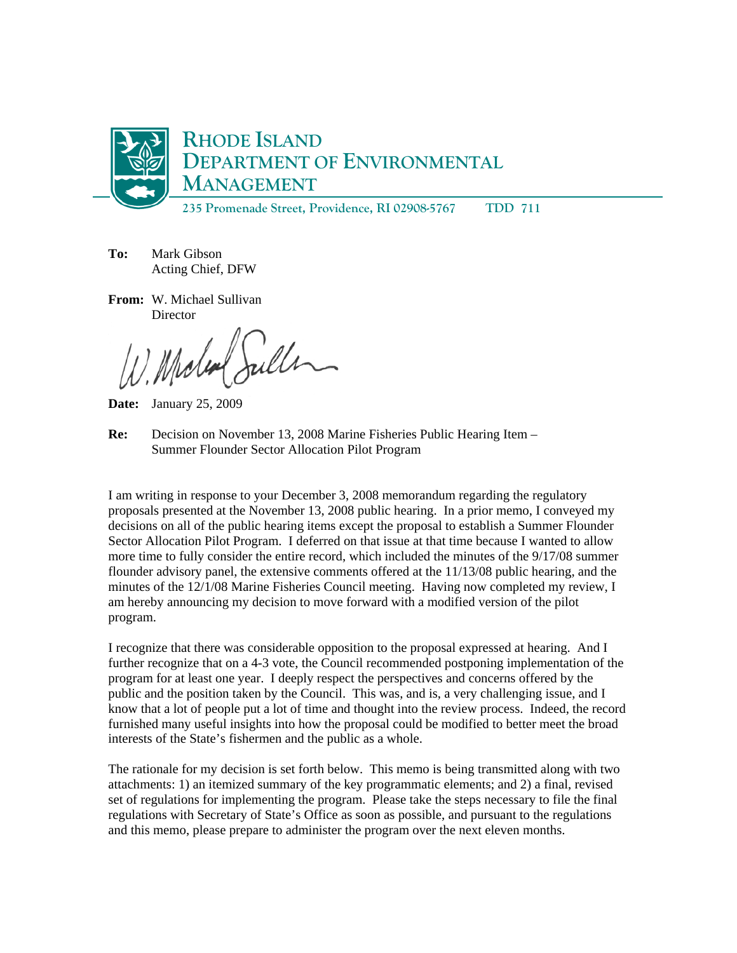

**235 Promenade Street, Providence, RI 02908-5767 TDD 711** 

**To:** Mark Gibson Acting Chief, DFW

**From:** W. Michael Sullivan **Director** 

Molen Sulle

**Date:** January 25, 2009

**Re:** Decision on November 13, 2008 Marine Fisheries Public Hearing Item – Summer Flounder Sector Allocation Pilot Program

I am writing in response to your December 3, 2008 memorandum regarding the regulatory proposals presented at the November 13, 2008 public hearing. In a prior memo, I conveyed my decisions on all of the public hearing items except the proposal to establish a Summer Flounder Sector Allocation Pilot Program. I deferred on that issue at that time because I wanted to allow more time to fully consider the entire record, which included the minutes of the 9/17/08 summer flounder advisory panel, the extensive comments offered at the 11/13/08 public hearing, and the minutes of the 12/1/08 Marine Fisheries Council meeting. Having now completed my review, I am hereby announcing my decision to move forward with a modified version of the pilot program.

I recognize that there was considerable opposition to the proposal expressed at hearing. And I further recognize that on a 4-3 vote, the Council recommended postponing implementation of the program for at least one year. I deeply respect the perspectives and concerns offered by the public and the position taken by the Council. This was, and is, a very challenging issue, and I know that a lot of people put a lot of time and thought into the review process. Indeed, the record furnished many useful insights into how the proposal could be modified to better meet the broad interests of the State's fishermen and the public as a whole.

The rationale for my decision is set forth below. This memo is being transmitted along with two attachments: 1) an itemized summary of the key programmatic elements; and 2) a final, revised set of regulations for implementing the program. Please take the steps necessary to file the final regulations with Secretary of State's Office as soon as possible, and pursuant to the regulations and this memo, please prepare to administer the program over the next eleven months.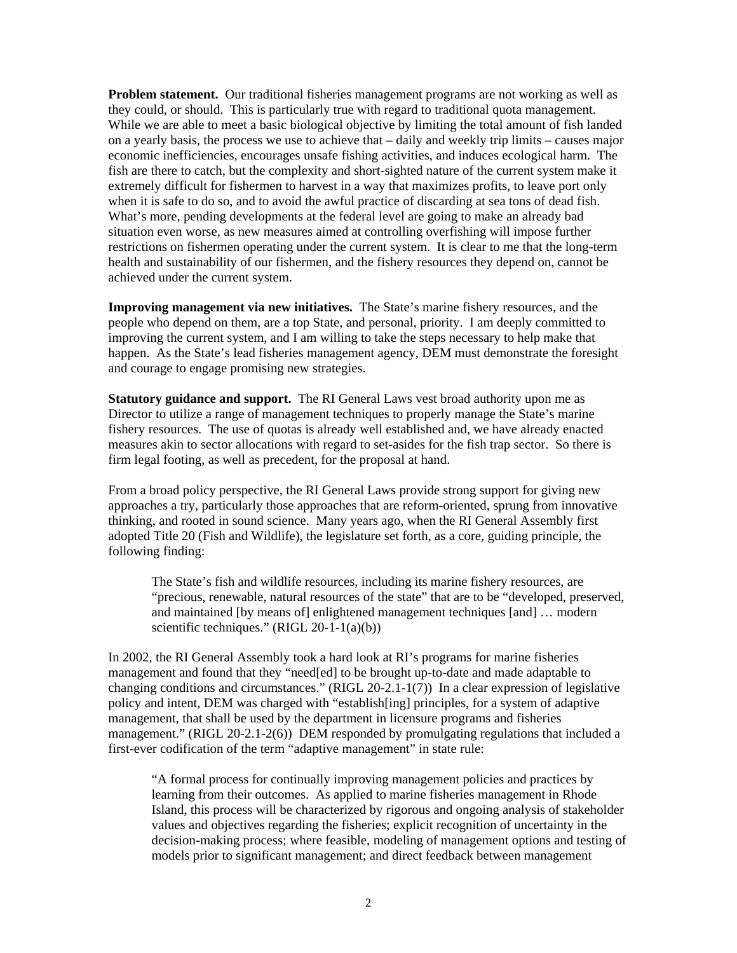**Problem statement.** Our traditional fisheries management programs are not working as well as they could, or should. This is particularly true with regard to traditional quota management. While we are able to meet a basic biological objective by limiting the total amount of fish landed on a yearly basis, the process we use to achieve that – daily and weekly trip limits – causes major economic inefficiencies, encourages unsafe fishing activities, and induces ecological harm. The fish are there to catch, but the complexity and short-sighted nature of the current system make it extremely difficult for fishermen to harvest in a way that maximizes profits, to leave port only when it is safe to do so, and to avoid the awful practice of discarding at sea tons of dead fish. What's more, pending developments at the federal level are going to make an already bad situation even worse, as new measures aimed at controlling overfishing will impose further restrictions on fishermen operating under the current system. It is clear to me that the long-term health and sustainability of our fishermen, and the fishery resources they depend on, cannot be achieved under the current system.

**Improving management via new initiatives.** The State's marine fishery resources, and the people who depend on them, are a top State, and personal, priority. I am deeply committed to improving the current system, and I am willing to take the steps necessary to help make that happen. As the State's lead fisheries management agency, DEM must demonstrate the foresight and courage to engage promising new strategies.

**Statutory guidance and support.** The RI General Laws vest broad authority upon me as Director to utilize a range of management techniques to properly manage the State's marine fishery resources. The use of quotas is already well established and, we have already enacted measures akin to sector allocations with regard to set-asides for the fish trap sector. So there is firm legal footing, as well as precedent, for the proposal at hand.

From a broad policy perspective, the RI General Laws provide strong support for giving new approaches a try, particularly those approaches that are reform-oriented, sprung from innovative thinking, and rooted in sound science. Many years ago, when the RI General Assembly first adopted Title 20 (Fish and Wildlife), the legislature set forth, as a core, guiding principle, the following finding:

The State's fish and wildlife resources, including its marine fishery resources, are "precious, renewable, natural resources of the state" that are to be "developed, preserved, and maintained [by means of] enlightened management techniques [and] … modern scientific techniques." (RIGL 20-1-1(a)(b))

In 2002, the RI General Assembly took a hard look at RI's programs for marine fisheries management and found that they "need[ed] to be brought up-to-date and made adaptable to changing conditions and circumstances." (RIGL 20-2.1-1(7)) In a clear expression of legislative policy and intent, DEM was charged with "establish[ing] principles, for a system of adaptive management, that shall be used by the department in licensure programs and fisheries management." (RIGL 20-2.1-2(6)) DEM responded by promulgating regulations that included a first-ever codification of the term "adaptive management" in state rule:

"A formal process for continually improving management policies and practices by learning from their outcomes. As applied to marine fisheries management in Rhode Island, this process will be characterized by rigorous and ongoing analysis of stakeholder values and objectives regarding the fisheries; explicit recognition of uncertainty in the decision-making process; where feasible, modeling of management options and testing of models prior to significant management; and direct feedback between management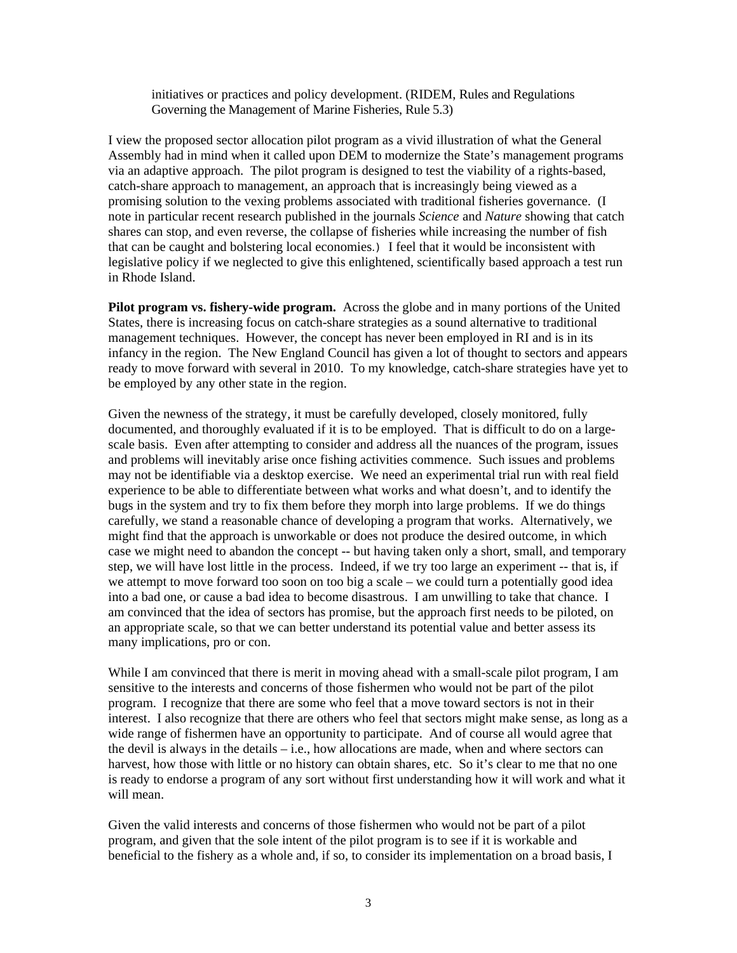initiatives or practices and policy development. (RIDEM, Rules and Regulations Governing the Management of Marine Fisheries, Rule 5.3)

I view the proposed sector allocation pilot program as a vivid illustration of what the General Assembly had in mind when it called upon DEM to modernize the State's management programs via an adaptive approach. The pilot program is designed to test the viability of a rights-based, catch-share approach to management, an approach that is increasingly being viewed as a promising solution to the vexing problems associated with traditional fisheries governance. (I note in particular recent research published in the journals *Science* and *Nature* showing that catch shares can stop, and even reverse, the collapse of fisheries while increasing the number of fish that can be caught and bolstering local economies.) I feel that it would be inconsistent with legislative policy if we neglected to give this enlightened, scientifically based approach a test run in Rhode Island.

**Pilot program vs. fishery-wide program.** Across the globe and in many portions of the United States, there is increasing focus on catch-share strategies as a sound alternative to traditional management techniques. However, the concept has never been employed in RI and is in its infancy in the region. The New England Council has given a lot of thought to sectors and appears ready to move forward with several in 2010. To my knowledge, catch-share strategies have yet to be employed by any other state in the region.

Given the newness of the strategy, it must be carefully developed, closely monitored, fully documented, and thoroughly evaluated if it is to be employed. That is difficult to do on a largescale basis. Even after attempting to consider and address all the nuances of the program, issues and problems will inevitably arise once fishing activities commence. Such issues and problems may not be identifiable via a desktop exercise. We need an experimental trial run with real field experience to be able to differentiate between what works and what doesn't, and to identify the bugs in the system and try to fix them before they morph into large problems. If we do things carefully, we stand a reasonable chance of developing a program that works. Alternatively, we might find that the approach is unworkable or does not produce the desired outcome, in which case we might need to abandon the concept -- but having taken only a short, small, and temporary step, we will have lost little in the process. Indeed, if we try too large an experiment -- that is, if we attempt to move forward too soon on too big a scale – we could turn a potentially good idea into a bad one, or cause a bad idea to become disastrous. I am unwilling to take that chance. I am convinced that the idea of sectors has promise, but the approach first needs to be piloted, on an appropriate scale, so that we can better understand its potential value and better assess its many implications, pro or con.

While I am convinced that there is merit in moving ahead with a small-scale pilot program, I am sensitive to the interests and concerns of those fishermen who would not be part of the pilot program. I recognize that there are some who feel that a move toward sectors is not in their interest. I also recognize that there are others who feel that sectors might make sense, as long as a wide range of fishermen have an opportunity to participate. And of course all would agree that the devil is always in the details  $-$  i.e., how allocations are made, when and where sectors can harvest, how those with little or no history can obtain shares, etc. So it's clear to me that no one is ready to endorse a program of any sort without first understanding how it will work and what it will mean.

Given the valid interests and concerns of those fishermen who would not be part of a pilot program, and given that the sole intent of the pilot program is to see if it is workable and beneficial to the fishery as a whole and, if so, to consider its implementation on a broad basis, I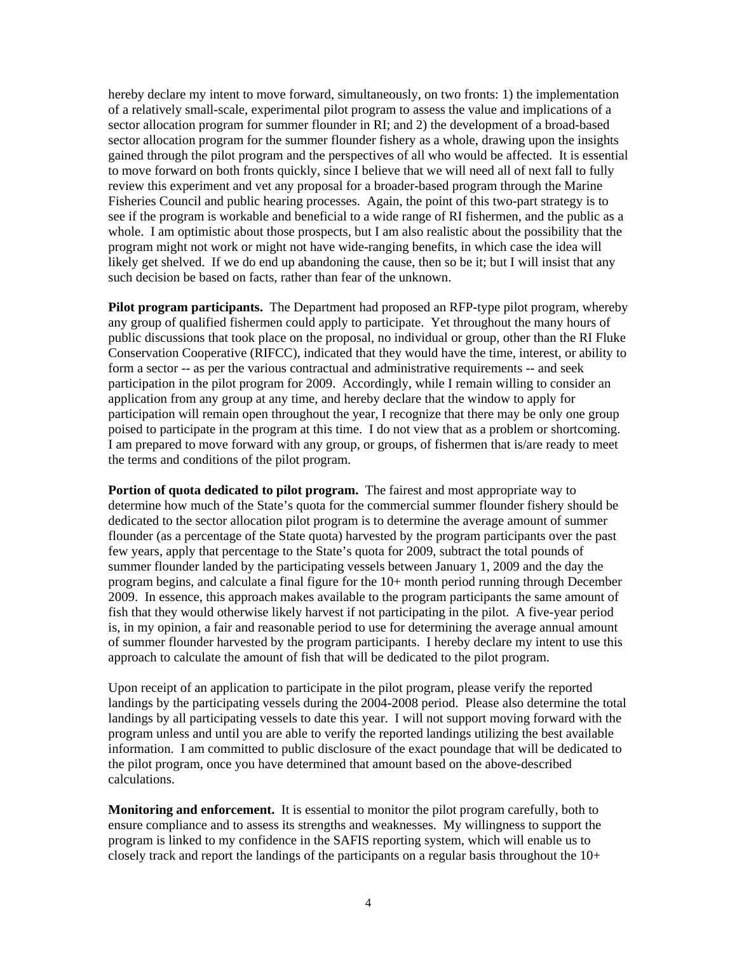hereby declare my intent to move forward, simultaneously, on two fronts: 1) the implementation of a relatively small-scale, experimental pilot program to assess the value and implications of a sector allocation program for summer flounder in RI; and 2) the development of a broad-based sector allocation program for the summer flounder fishery as a whole, drawing upon the insights gained through the pilot program and the perspectives of all who would be affected. It is essential to move forward on both fronts quickly, since I believe that we will need all of next fall to fully review this experiment and vet any proposal for a broader-based program through the Marine Fisheries Council and public hearing processes. Again, the point of this two-part strategy is to see if the program is workable and beneficial to a wide range of RI fishermen, and the public as a whole. I am optimistic about those prospects, but I am also realistic about the possibility that the program might not work or might not have wide-ranging benefits, in which case the idea will likely get shelved. If we do end up abandoning the cause, then so be it; but I will insist that any such decision be based on facts, rather than fear of the unknown.

**Pilot program participants.** The Department had proposed an RFP-type pilot program, whereby any group of qualified fishermen could apply to participate. Yet throughout the many hours of public discussions that took place on the proposal, no individual or group, other than the RI Fluke Conservation Cooperative (RIFCC), indicated that they would have the time, interest, or ability to form a sector -- as per the various contractual and administrative requirements -- and seek participation in the pilot program for 2009. Accordingly, while I remain willing to consider an application from any group at any time, and hereby declare that the window to apply for participation will remain open throughout the year, I recognize that there may be only one group poised to participate in the program at this time. I do not view that as a problem or shortcoming. I am prepared to move forward with any group, or groups, of fishermen that is/are ready to meet the terms and conditions of the pilot program.

**Portion of quota dedicated to pilot program.** The fairest and most appropriate way to determine how much of the State's quota for the commercial summer flounder fishery should be dedicated to the sector allocation pilot program is to determine the average amount of summer flounder (as a percentage of the State quota) harvested by the program participants over the past few years, apply that percentage to the State's quota for 2009, subtract the total pounds of summer flounder landed by the participating vessels between January 1, 2009 and the day the program begins, and calculate a final figure for the 10+ month period running through December 2009. In essence, this approach makes available to the program participants the same amount of fish that they would otherwise likely harvest if not participating in the pilot. A five-year period is, in my opinion, a fair and reasonable period to use for determining the average annual amount of summer flounder harvested by the program participants. I hereby declare my intent to use this approach to calculate the amount of fish that will be dedicated to the pilot program.

Upon receipt of an application to participate in the pilot program, please verify the reported landings by the participating vessels during the 2004-2008 period. Please also determine the total landings by all participating vessels to date this year. I will not support moving forward with the program unless and until you are able to verify the reported landings utilizing the best available information. I am committed to public disclosure of the exact poundage that will be dedicated to the pilot program, once you have determined that amount based on the above-described calculations.

**Monitoring and enforcement.** It is essential to monitor the pilot program carefully, both to ensure compliance and to assess its strengths and weaknesses. My willingness to support the program is linked to my confidence in the SAFIS reporting system, which will enable us to closely track and report the landings of the participants on a regular basis throughout the  $10+$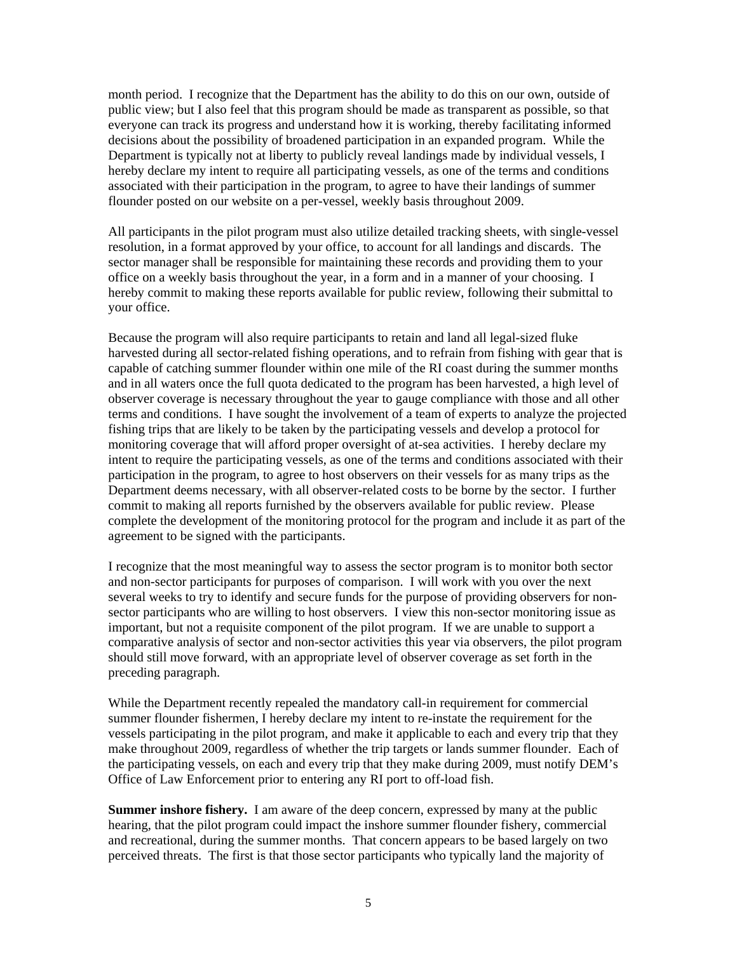month period. I recognize that the Department has the ability to do this on our own, outside of public view; but I also feel that this program should be made as transparent as possible, so that everyone can track its progress and understand how it is working, thereby facilitating informed decisions about the possibility of broadened participation in an expanded program. While the Department is typically not at liberty to publicly reveal landings made by individual vessels, I hereby declare my intent to require all participating vessels, as one of the terms and conditions associated with their participation in the program, to agree to have their landings of summer flounder posted on our website on a per-vessel, weekly basis throughout 2009.

All participants in the pilot program must also utilize detailed tracking sheets, with single-vessel resolution, in a format approved by your office, to account for all landings and discards. The sector manager shall be responsible for maintaining these records and providing them to your office on a weekly basis throughout the year, in a form and in a manner of your choosing. I hereby commit to making these reports available for public review, following their submittal to your office.

Because the program will also require participants to retain and land all legal-sized fluke harvested during all sector-related fishing operations, and to refrain from fishing with gear that is capable of catching summer flounder within one mile of the RI coast during the summer months and in all waters once the full quota dedicated to the program has been harvested, a high level of observer coverage is necessary throughout the year to gauge compliance with those and all other terms and conditions. I have sought the involvement of a team of experts to analyze the projected fishing trips that are likely to be taken by the participating vessels and develop a protocol for monitoring coverage that will afford proper oversight of at-sea activities. I hereby declare my intent to require the participating vessels, as one of the terms and conditions associated with their participation in the program, to agree to host observers on their vessels for as many trips as the Department deems necessary, with all observer-related costs to be borne by the sector. I further commit to making all reports furnished by the observers available for public review. Please complete the development of the monitoring protocol for the program and include it as part of the agreement to be signed with the participants.

I recognize that the most meaningful way to assess the sector program is to monitor both sector and non-sector participants for purposes of comparison. I will work with you over the next several weeks to try to identify and secure funds for the purpose of providing observers for nonsector participants who are willing to host observers. I view this non-sector monitoring issue as important, but not a requisite component of the pilot program. If we are unable to support a comparative analysis of sector and non-sector activities this year via observers, the pilot program should still move forward, with an appropriate level of observer coverage as set forth in the preceding paragraph.

While the Department recently repealed the mandatory call-in requirement for commercial summer flounder fishermen, I hereby declare my intent to re-instate the requirement for the vessels participating in the pilot program, and make it applicable to each and every trip that they make throughout 2009, regardless of whether the trip targets or lands summer flounder. Each of the participating vessels, on each and every trip that they make during 2009, must notify DEM's Office of Law Enforcement prior to entering any RI port to off-load fish.

**Summer inshore fishery.** I am aware of the deep concern, expressed by many at the public hearing, that the pilot program could impact the inshore summer flounder fishery, commercial and recreational, during the summer months. That concern appears to be based largely on two perceived threats. The first is that those sector participants who typically land the majority of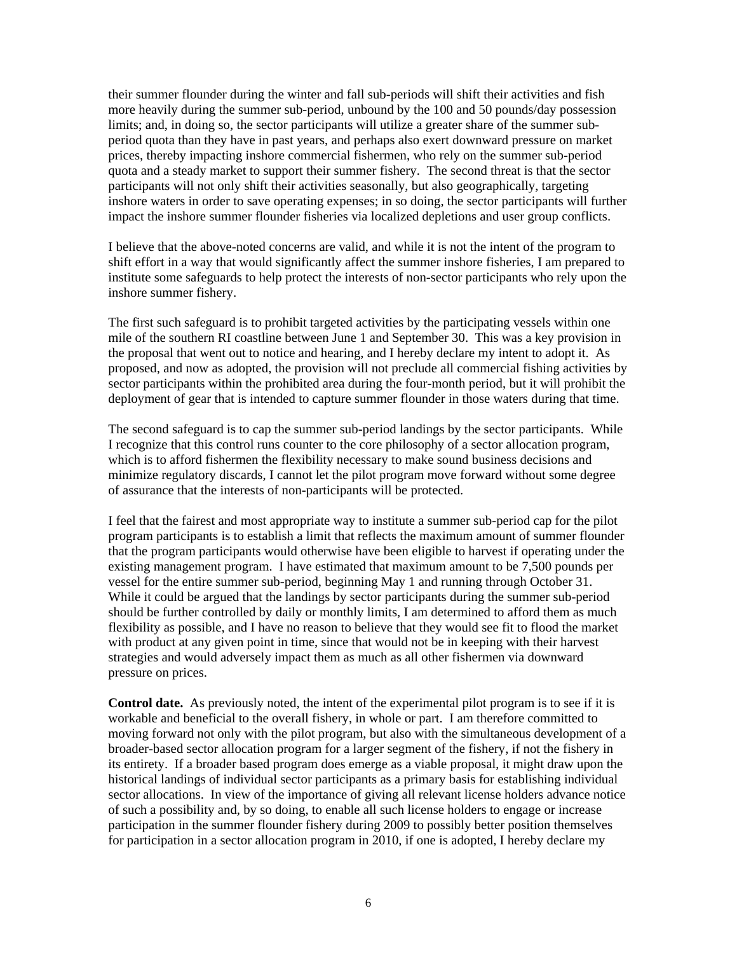their summer flounder during the winter and fall sub-periods will shift their activities and fish more heavily during the summer sub-period, unbound by the 100 and 50 pounds/day possession limits; and, in doing so, the sector participants will utilize a greater share of the summer subperiod quota than they have in past years, and perhaps also exert downward pressure on market prices, thereby impacting inshore commercial fishermen, who rely on the summer sub-period quota and a steady market to support their summer fishery. The second threat is that the sector participants will not only shift their activities seasonally, but also geographically, targeting inshore waters in order to save operating expenses; in so doing, the sector participants will further impact the inshore summer flounder fisheries via localized depletions and user group conflicts.

I believe that the above-noted concerns are valid, and while it is not the intent of the program to shift effort in a way that would significantly affect the summer inshore fisheries, I am prepared to institute some safeguards to help protect the interests of non-sector participants who rely upon the inshore summer fishery.

The first such safeguard is to prohibit targeted activities by the participating vessels within one mile of the southern RI coastline between June 1 and September 30. This was a key provision in the proposal that went out to notice and hearing, and I hereby declare my intent to adopt it. As proposed, and now as adopted, the provision will not preclude all commercial fishing activities by sector participants within the prohibited area during the four-month period, but it will prohibit the deployment of gear that is intended to capture summer flounder in those waters during that time.

The second safeguard is to cap the summer sub-period landings by the sector participants. While I recognize that this control runs counter to the core philosophy of a sector allocation program, which is to afford fishermen the flexibility necessary to make sound business decisions and minimize regulatory discards, I cannot let the pilot program move forward without some degree of assurance that the interests of non-participants will be protected.

I feel that the fairest and most appropriate way to institute a summer sub-period cap for the pilot program participants is to establish a limit that reflects the maximum amount of summer flounder that the program participants would otherwise have been eligible to harvest if operating under the existing management program. I have estimated that maximum amount to be 7,500 pounds per vessel for the entire summer sub-period, beginning May 1 and running through October 31. While it could be argued that the landings by sector participants during the summer sub-period should be further controlled by daily or monthly limits, I am determined to afford them as much flexibility as possible, and I have no reason to believe that they would see fit to flood the market with product at any given point in time, since that would not be in keeping with their harvest strategies and would adversely impact them as much as all other fishermen via downward pressure on prices.

**Control date.** As previously noted, the intent of the experimental pilot program is to see if it is workable and beneficial to the overall fishery, in whole or part. I am therefore committed to moving forward not only with the pilot program, but also with the simultaneous development of a broader-based sector allocation program for a larger segment of the fishery, if not the fishery in its entirety. If a broader based program does emerge as a viable proposal, it might draw upon the historical landings of individual sector participants as a primary basis for establishing individual sector allocations. In view of the importance of giving all relevant license holders advance notice of such a possibility and, by so doing, to enable all such license holders to engage or increase participation in the summer flounder fishery during 2009 to possibly better position themselves for participation in a sector allocation program in 2010, if one is adopted, I hereby declare my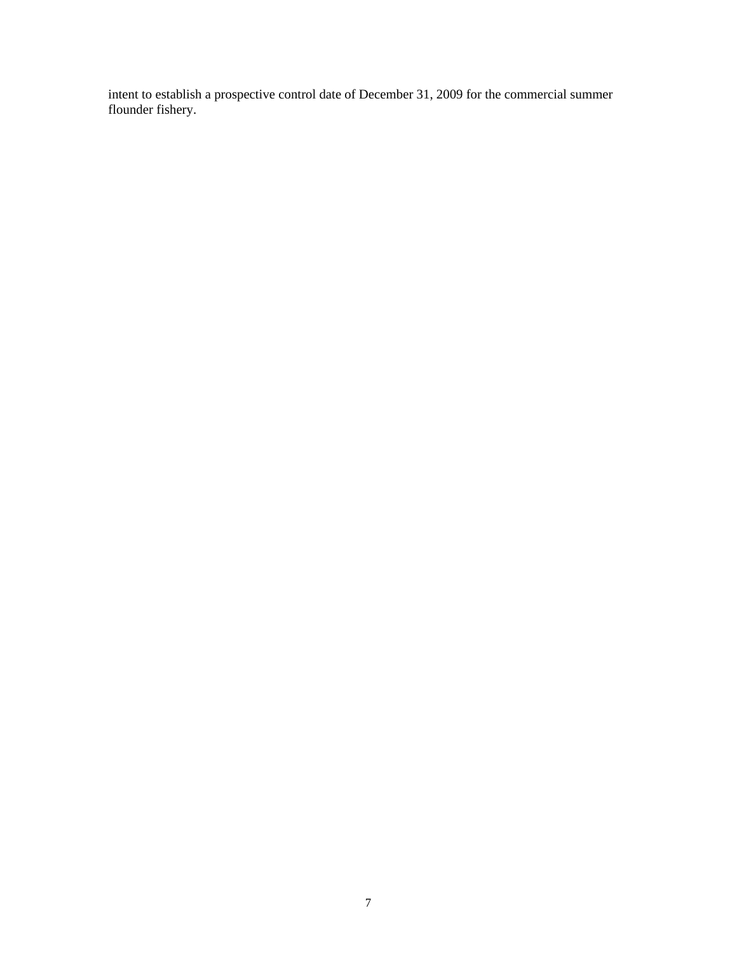intent to establish a prospective control date of December 31, 2009 for the commercial summer flounder fishery.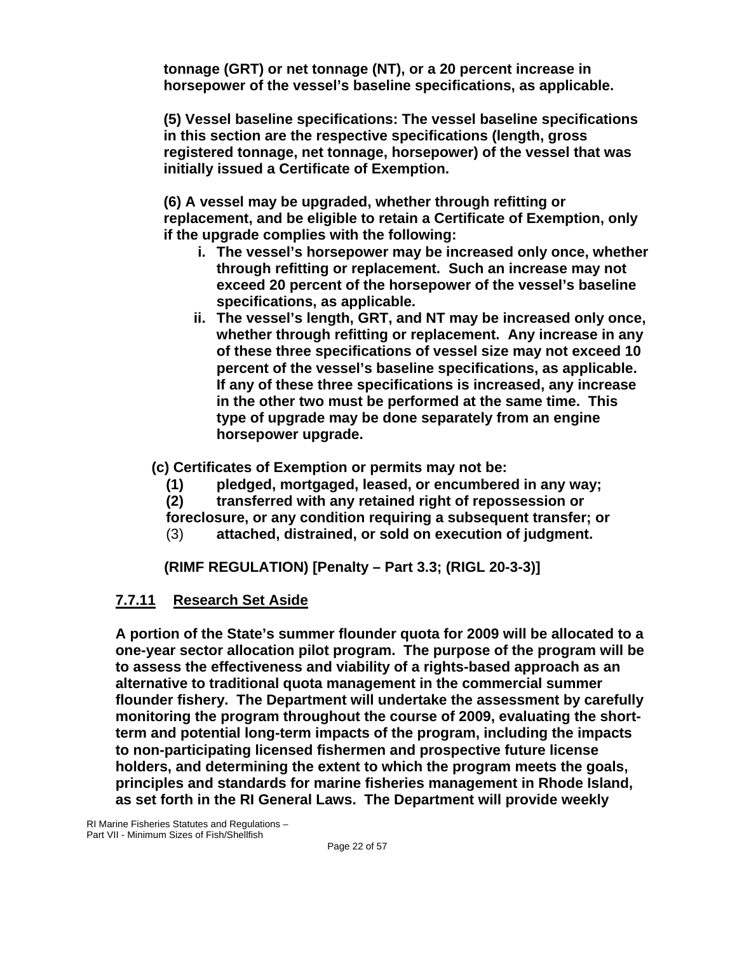**tonnage (GRT) or net tonnage (NT), or a 20 percent increase in horsepower of the vessel's baseline specifications, as applicable.** 

**(5) Vessel baseline specifications: The vessel baseline specifications in this section are the respective specifications (length, gross registered tonnage, net tonnage, horsepower) of the vessel that was initially issued a Certificate of Exemption.** 

**(6) A vessel may be upgraded, whether through refitting or replacement, and be eligible to retain a Certificate of Exemption, only if the upgrade complies with the following:** 

- **i. The vessel's horsepower may be increased only once, whether through refitting or replacement. Such an increase may not exceed 20 percent of the horsepower of the vessel's baseline specifications, as applicable.**
- **ii. The vessel's length, GRT, and NT may be increased only once, whether through refitting or replacement. Any increase in any of these three specifications of vessel size may not exceed 10 percent of the vessel's baseline specifications, as applicable. If any of these three specifications is increased, any increase in the other two must be performed at the same time. This type of upgrade may be done separately from an engine horsepower upgrade.**

**(c) Certificates of Exemption or permits may not be:** 

**(1) pledged, mortgaged, leased, or encumbered in any way;** 

**(2) transferred with any retained right of repossession or** 

**foreclosure, or any condition requiring a subsequent transfer; or** 

(3) **attached, distrained, or sold on execution of judgment.**

**(RIMF REGULATION) [Penalty – Part 3.3; (RIGL 20-3-3)]** 

#### **7.7.11 Research Set Aside**

**A portion of the State's summer flounder quota for 2009 will be allocated to a one-year sector allocation pilot program. The purpose of the program will be to assess the effectiveness and viability of a rights-based approach as an alternative to traditional quota management in the commercial summer flounder fishery. The Department will undertake the assessment by carefully monitoring the program throughout the course of 2009, evaluating the shortterm and potential long-term impacts of the program, including the impacts to non-participating licensed fishermen and prospective future license holders, and determining the extent to which the program meets the goals, principles and standards for marine fisheries management in Rhode Island, as set forth in the RI General Laws. The Department will provide weekly**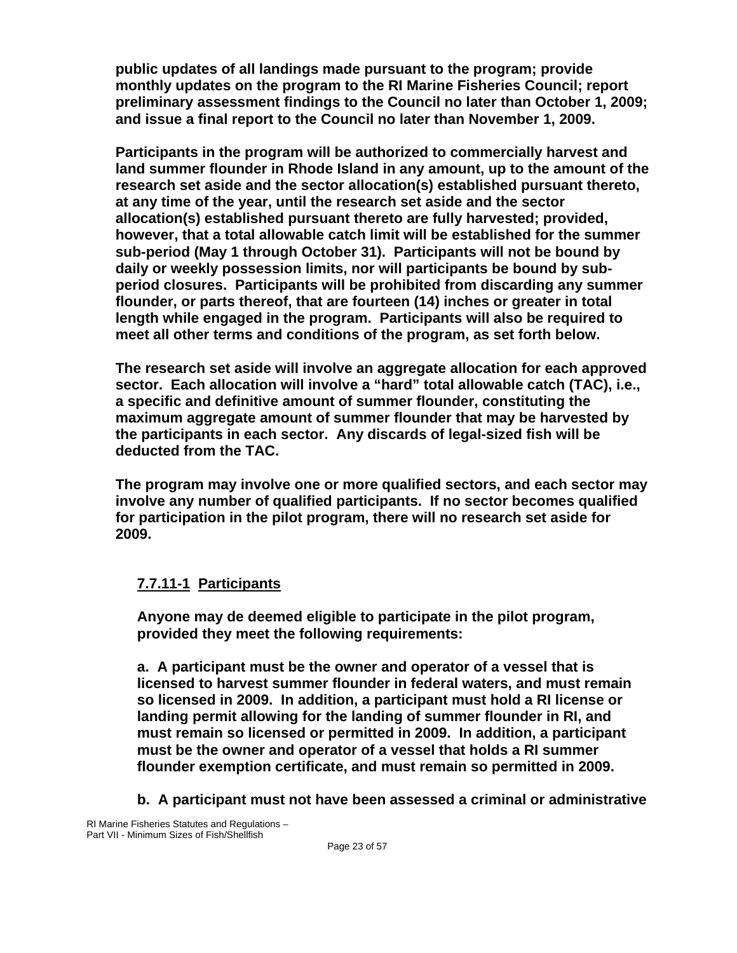**public updates of all landings made pursuant to the program; provide monthly updates on the program to the RI Marine Fisheries Council; report preliminary assessment findings to the Council no later than October 1, 2009; and issue a final report to the Council no later than November 1, 2009.** 

**Participants in the program will be authorized to commercially harvest and land summer flounder in Rhode Island in any amount, up to the amount of the research set aside and the sector allocation(s) established pursuant thereto, at any time of the year, until the research set aside and the sector allocation(s) established pursuant thereto are fully harvested; provided, however, that a total allowable catch limit will be established for the summer sub-period (May 1 through October 31). Participants will not be bound by daily or weekly possession limits, nor will participants be bound by subperiod closures. Participants will be prohibited from discarding any summer flounder, or parts thereof, that are fourteen (14) inches or greater in total length while engaged in the program. Participants will also be required to meet all other terms and conditions of the program, as set forth below.** 

**The research set aside will involve an aggregate allocation for each approved sector. Each allocation will involve a "hard" total allowable catch (TAC), i.e., a specific and definitive amount of summer flounder, constituting the maximum aggregate amount of summer flounder that may be harvested by the participants in each sector. Any discards of legal-sized fish will be deducted from the TAC.** 

**The program may involve one or more qualified sectors, and each sector may involve any number of qualified participants. If no sector becomes qualified for participation in the pilot program, there will no research set aside for 2009.**

## **7.7.11-1 Participants**

**Anyone may de deemed eligible to participate in the pilot program, provided they meet the following requirements:** 

**a. A participant must be the owner and operator of a vessel that is licensed to harvest summer flounder in federal waters, and must remain so licensed in 2009. In addition, a participant must hold a RI license or landing permit allowing for the landing of summer flounder in RI, and must remain so licensed or permitted in 2009. In addition, a participant must be the owner and operator of a vessel that holds a RI summer flounder exemption certificate, and must remain so permitted in 2009.** 

**b. A participant must not have been assessed a criminal or administrative**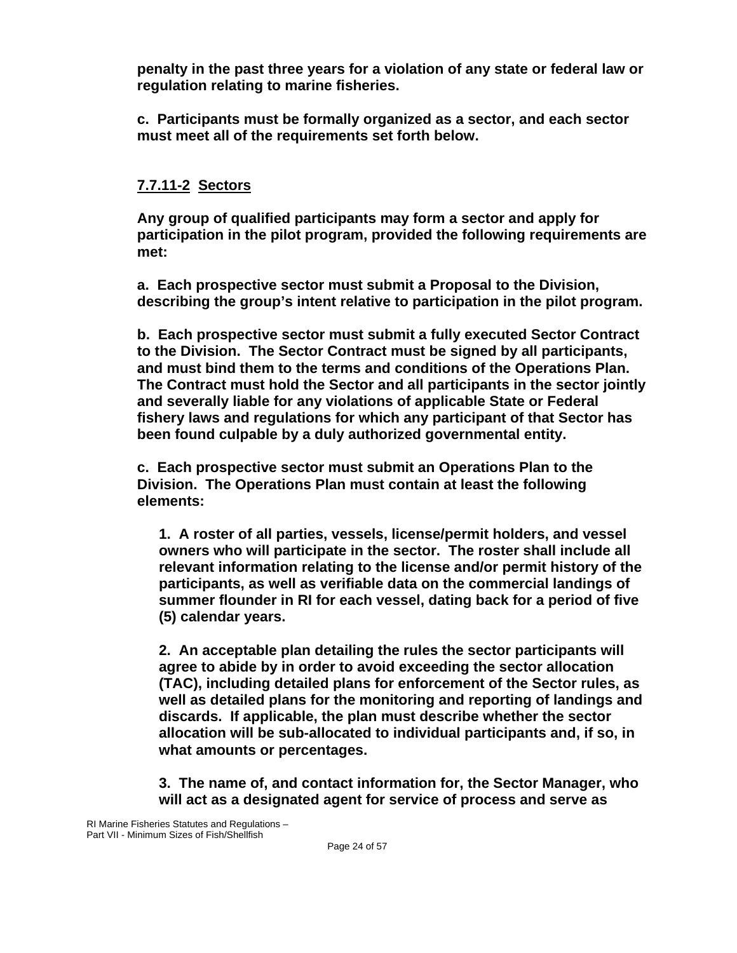**penalty in the past three years for a violation of any state or federal law or regulation relating to marine fisheries.** 

**c. Participants must be formally organized as a sector, and each sector must meet all of the requirements set forth below.** 

## **7.7.11-2 Sectors**

**Any group of qualified participants may form a sector and apply for participation in the pilot program, provided the following requirements are met:** 

**a. Each prospective sector must submit a Proposal to the Division, describing the group's intent relative to participation in the pilot program.** 

**b. Each prospective sector must submit a fully executed Sector Contract to the Division. The Sector Contract must be signed by all participants, and must bind them to the terms and conditions of the Operations Plan. The Contract must hold the Sector and all participants in the sector jointly and severally liable for any violations of applicable State or Federal fishery laws and regulations for which any participant of that Sector has been found culpable by a duly authorized governmental entity.** 

**c. Each prospective sector must submit an Operations Plan to the Division. The Operations Plan must contain at least the following elements:** 

**1. A roster of all parties, vessels, license/permit holders, and vessel owners who will participate in the sector. The roster shall include all relevant information relating to the license and/or permit history of the participants, as well as verifiable data on the commercial landings of summer flounder in RI for each vessel, dating back for a period of five (5) calendar years.** 

**2. An acceptable plan detailing the rules the sector participants will agree to abide by in order to avoid exceeding the sector allocation (TAC), including detailed plans for enforcement of the Sector rules, as well as detailed plans for the monitoring and reporting of landings and discards. If applicable, the plan must describe whether the sector allocation will be sub-allocated to individual participants and, if so, in what amounts or percentages.** 

**3. The name of, and contact information for, the Sector Manager, who will act as a designated agent for service of process and serve as**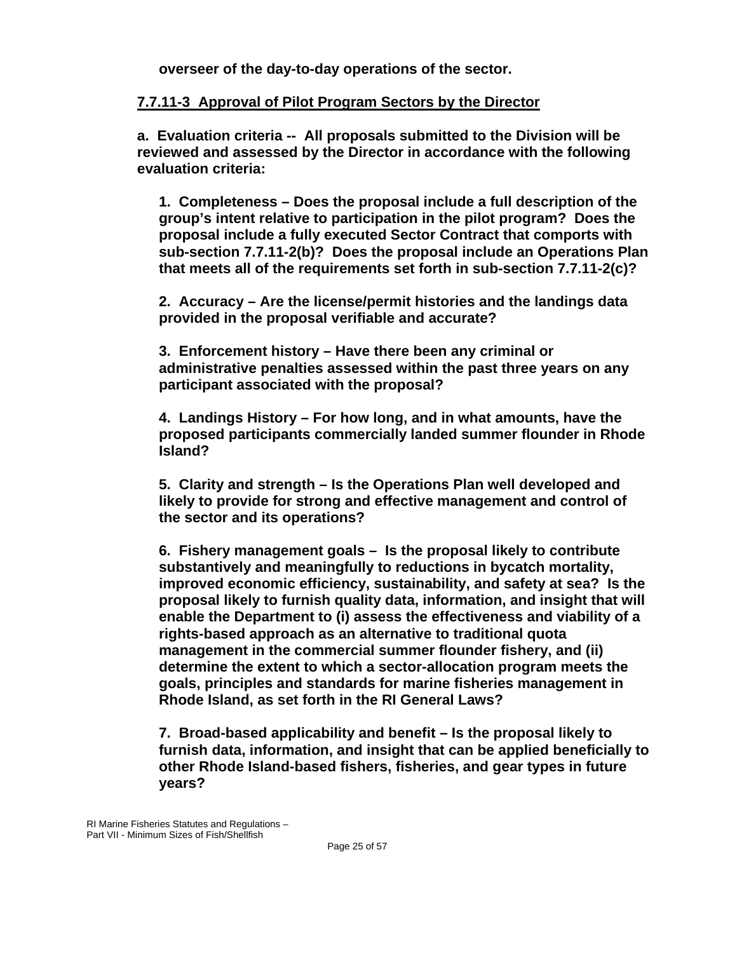**overseer of the day-to-day operations of the sector.** 

#### **7.7.11-3 Approval of Pilot Program Sectors by the Director**

**a. Evaluation criteria -- All proposals submitted to the Division will be reviewed and assessed by the Director in accordance with the following evaluation criteria:** 

**1. Completeness – Does the proposal include a full description of the group's intent relative to participation in the pilot program? Does the proposal include a fully executed Sector Contract that comports with sub-section 7.7.11-2(b)? Does the proposal include an Operations Plan that meets all of the requirements set forth in sub-section 7.7.11-2(c)?** 

**2. Accuracy – Are the license/permit histories and the landings data provided in the proposal verifiable and accurate?** 

**3. Enforcement history – Have there been any criminal or administrative penalties assessed within the past three years on any participant associated with the proposal?** 

**4. Landings History – For how long, and in what amounts, have the proposed participants commercially landed summer flounder in Rhode Island?** 

**5. Clarity and strength – Is the Operations Plan well developed and likely to provide for strong and effective management and control of the sector and its operations?** 

**6. Fishery management goals – Is the proposal likely to contribute substantively and meaningfully to reductions in bycatch mortality, improved economic efficiency, sustainability, and safety at sea? Is the proposal likely to furnish quality data, information, and insight that will enable the Department to (i) assess the effectiveness and viability of a rights-based approach as an alternative to traditional quota management in the commercial summer flounder fishery, and (ii) determine the extent to which a sector-allocation program meets the goals, principles and standards for marine fisheries management in Rhode Island, as set forth in the RI General Laws?** 

**7. Broad-based applicability and benefit – Is the proposal likely to furnish data, information, and insight that can be applied beneficially to other Rhode Island-based fishers, fisheries, and gear types in future years?**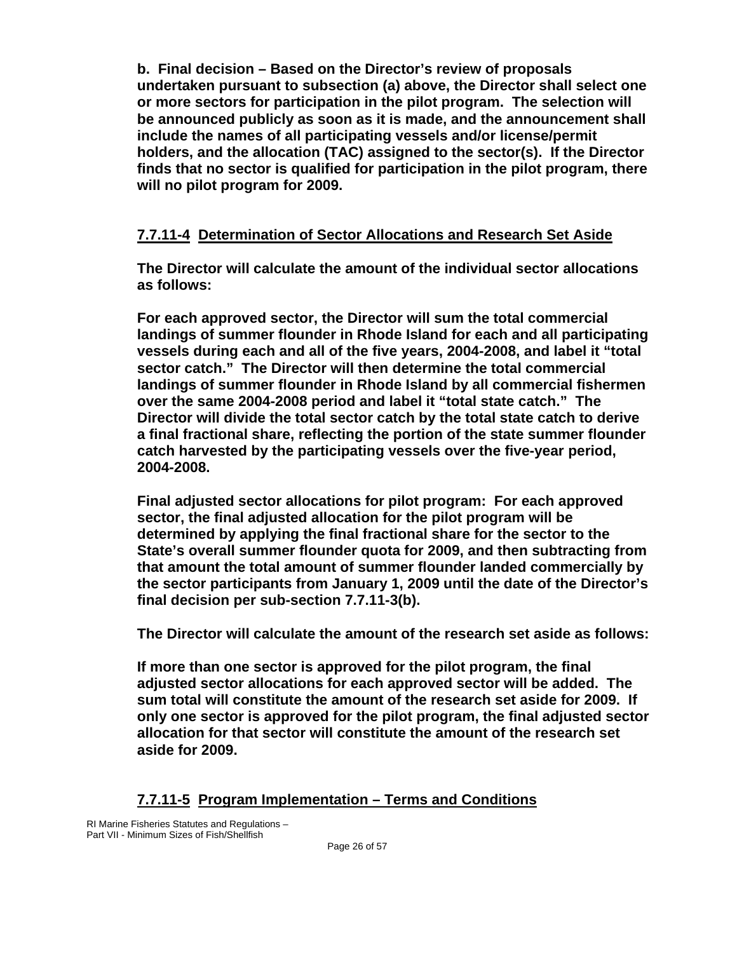**b. Final decision – Based on the Director's review of proposals undertaken pursuant to subsection (a) above, the Director shall select one or more sectors for participation in the pilot program. The selection will be announced publicly as soon as it is made, and the announcement shall include the names of all participating vessels and/or license/permit holders, and the allocation (TAC) assigned to the sector(s). If the Director finds that no sector is qualified for participation in the pilot program, there will no pilot program for 2009.** 

### **7.7.11-4 Determination of Sector Allocations and Research Set Aside**

**The Director will calculate the amount of the individual sector allocations as follows:** 

**For each approved sector, the Director will sum the total commercial landings of summer flounder in Rhode Island for each and all participating vessels during each and all of the five years, 2004-2008, and label it "total sector catch." The Director will then determine the total commercial landings of summer flounder in Rhode Island by all commercial fishermen over the same 2004-2008 period and label it "total state catch." The Director will divide the total sector catch by the total state catch to derive a final fractional share, reflecting the portion of the state summer flounder catch harvested by the participating vessels over the five-year period, 2004-2008.** 

**Final adjusted sector allocations for pilot program: For each approved sector, the final adjusted allocation for the pilot program will be determined by applying the final fractional share for the sector to the State's overall summer flounder quota for 2009, and then subtracting from that amount the total amount of summer flounder landed commercially by the sector participants from January 1, 2009 until the date of the Director's final decision per sub-section 7.7.11-3(b).** 

**The Director will calculate the amount of the research set aside as follows:** 

**If more than one sector is approved for the pilot program, the final adjusted sector allocations for each approved sector will be added. The sum total will constitute the amount of the research set aside for 2009. If only one sector is approved for the pilot program, the final adjusted sector allocation for that sector will constitute the amount of the research set aside for 2009.** 

#### **7.7.11-5 Program Implementation – Terms and Conditions**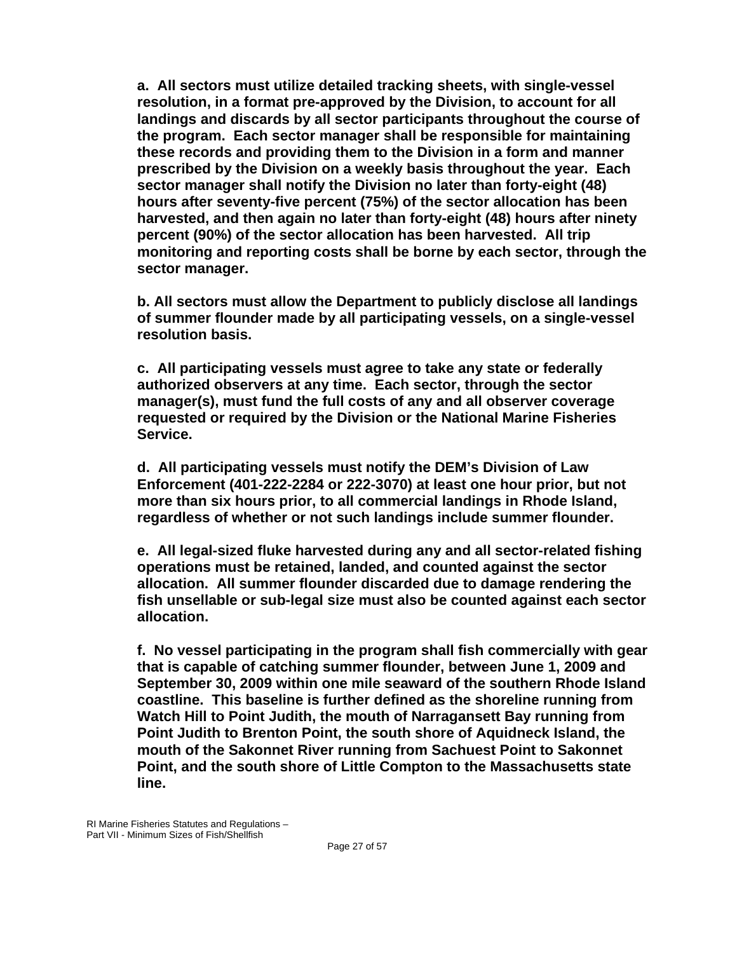**a. All sectors must utilize detailed tracking sheets, with single-vessel resolution, in a format pre-approved by the Division, to account for all landings and discards by all sector participants throughout the course of the program. Each sector manager shall be responsible for maintaining these records and providing them to the Division in a form and manner prescribed by the Division on a weekly basis throughout the year. Each sector manager shall notify the Division no later than forty-eight (48) hours after seventy-five percent (75%) of the sector allocation has been harvested, and then again no later than forty-eight (48) hours after ninety percent (90%) of the sector allocation has been harvested. All trip monitoring and reporting costs shall be borne by each sector, through the sector manager.** 

**b. All sectors must allow the Department to publicly disclose all landings of summer flounder made by all participating vessels, on a single-vessel resolution basis.** 

**c. All participating vessels must agree to take any state or federally authorized observers at any time. Each sector, through the sector manager(s), must fund the full costs of any and all observer coverage requested or required by the Division or the National Marine Fisheries Service.** 

**d. All participating vessels must notify the DEM's Division of Law Enforcement (401-222-2284 or 222-3070) at least one hour prior, but not more than six hours prior, to all commercial landings in Rhode Island, regardless of whether or not such landings include summer flounder.** 

**e. All legal-sized fluke harvested during any and all sector-related fishing operations must be retained, landed, and counted against the sector allocation. All summer flounder discarded due to damage rendering the fish unsellable or sub-legal size must also be counted against each sector allocation.** 

**f. No vessel participating in the program shall fish commercially with gear that is capable of catching summer flounder, between June 1, 2009 and September 30, 2009 within one mile seaward of the southern Rhode Island coastline. This baseline is further defined as the shoreline running from Watch Hill to Point Judith, the mouth of Narragansett Bay running from Point Judith to Brenton Point, the south shore of Aquidneck Island, the mouth of the Sakonnet River running from Sachuest Point to Sakonnet Point, and the south shore of Little Compton to the Massachusetts state line.**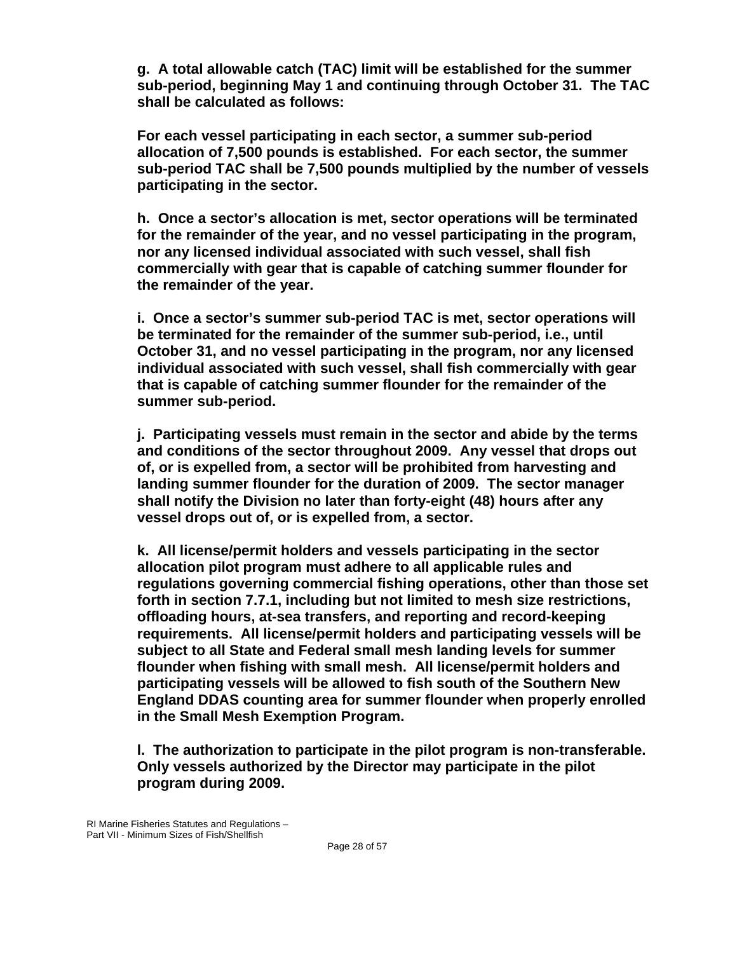**g. A total allowable catch (TAC) limit will be established for the summer sub-period, beginning May 1 and continuing through October 31. The TAC shall be calculated as follows:** 

**For each vessel participating in each sector, a summer sub-period allocation of 7,500 pounds is established. For each sector, the summer sub-period TAC shall be 7,500 pounds multiplied by the number of vessels participating in the sector.** 

**h. Once a sector's allocation is met, sector operations will be terminated for the remainder of the year, and no vessel participating in the program, nor any licensed individual associated with such vessel, shall fish commercially with gear that is capable of catching summer flounder for the remainder of the year.** 

**i. Once a sector's summer sub-period TAC is met, sector operations will be terminated for the remainder of the summer sub-period, i.e., until October 31, and no vessel participating in the program, nor any licensed individual associated with such vessel, shall fish commercially with gear that is capable of catching summer flounder for the remainder of the summer sub-period.** 

**j. Participating vessels must remain in the sector and abide by the terms and conditions of the sector throughout 2009. Any vessel that drops out of, or is expelled from, a sector will be prohibited from harvesting and landing summer flounder for the duration of 2009. The sector manager shall notify the Division no later than forty-eight (48) hours after any vessel drops out of, or is expelled from, a sector.** 

**k. All license/permit holders and vessels participating in the sector allocation pilot program must adhere to all applicable rules and regulations governing commercial fishing operations, other than those set forth in section 7.7.1, including but not limited to mesh size restrictions, offloading hours, at-sea transfers, and reporting and record-keeping requirements. All license/permit holders and participating vessels will be subject to all State and Federal small mesh landing levels for summer flounder when fishing with small mesh. All license/permit holders and participating vessels will be allowed to fish south of the Southern New England DDAS counting area for summer flounder when properly enrolled in the Small Mesh Exemption Program.** 

**l. The authorization to participate in the pilot program is non-transferable. Only vessels authorized by the Director may participate in the pilot program during 2009.**